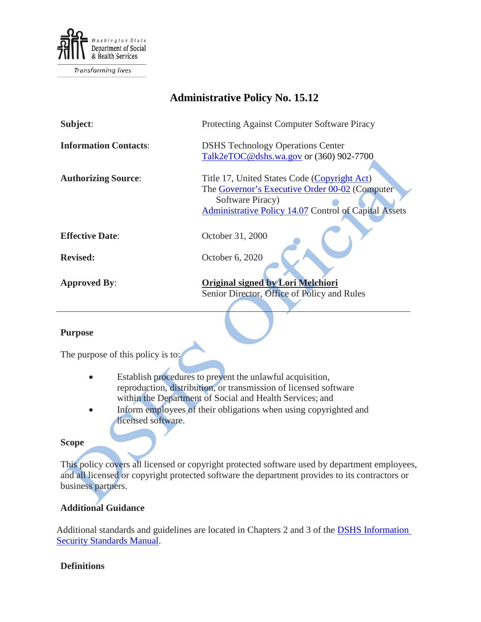

**Transforming lives** 

# **Administrative Policy No. 15.12**

| Subject:                     | Protecting Against Computer Software Piracy                  |
|------------------------------|--------------------------------------------------------------|
| <b>Information Contacts:</b> | <b>DSHS</b> Technology Operations Center                     |
|                              | Talk2eTOC@dshs.wa.gov or (360) 902-7700                      |
| <b>Authorizing Source:</b>   | Title 17, United States Code (Copyright Act)                 |
|                              | The Governor's Executive Order 00-02 (Computer               |
|                              | Software Piracy)                                             |
|                              | <b>Administrative Policy 14.07 Control of Capital Assets</b> |
|                              |                                                              |
| <b>Effective Date:</b>       | October 31, 2000                                             |
| <b>Revised:</b>              | October 6, 2020                                              |
|                              |                                                              |
| <b>Approved By:</b>          | Original signed by Lori Melchiori                            |
|                              | Senior Director, Office of Policy and Rules                  |
|                              |                                                              |

#### **Purpose**

The purpose of this policy is to:

- Establish procedures to prevent the unlawful acquisition, reproduction, distribution, or transmission of licensed software within the Department of Social and Health Services; and
- Inform employees of their obligations when using copyrighted and licensed software.

#### **Scope**

This policy covers all licensed or copyright protected software used by department employees, and all licensed or copyright protected software the department provides to its contractors or business partners.

### **Additional Guidance**

Additional standards and guidelines are located in Chapters 2 and 3 of the **DSHS Information** [Security Standards Manual.](http://ishare.dshs.wa.lcl/Security/Manuals/Pages/default.aspx)

#### **Definitions**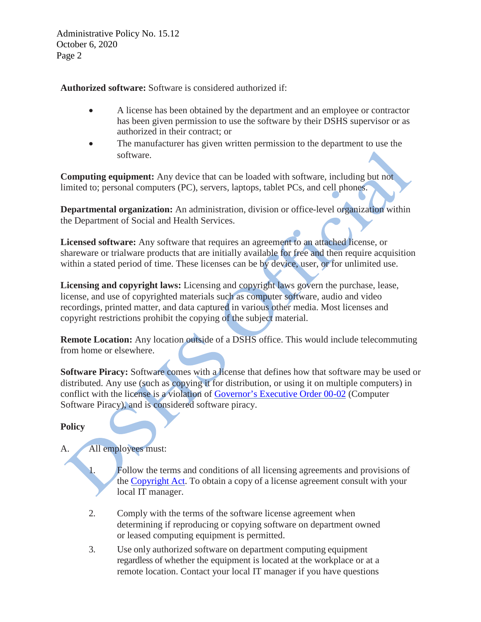Administrative Policy No. 15.12 October 6, 2020 Page 2

**Authorized software:** Software is considered authorized if:

- A license has been obtained by the department and an employee or contractor has been given permission to use the software by their DSHS supervisor or as authorized in their contract; or
- The manufacturer has given written permission to the department to use the software.

**Computing equipment:** Any device that can be loaded with software, including but not limited to; personal computers (PC), servers, laptops, tablet PCs, and cell phones.

**Departmental organization:** An administration, division or office-level organization within the Department of Social and Health Services.

**Licensed software:** Any software that requires an agreement to an attached license, or shareware or trialware products that are initially available for free and then require acquisition within a stated period of time. These licenses can be by device, user, or for unlimited use.

**Licensing and copyright laws:** Licensing and copyright laws govern the purchase, lease, license, and use of copyrighted materials such as computer software, audio and video recordings, printed matter, and data captured in various other media. Most licenses and copyright restrictions prohibit the copying of the subject material.

**Remote Location:** Any location outside of a DSHS office. This would include telecommuting from home or elsewhere.

**Software Piracy:** Software comes with a license that defines how that software may be used or distributed. Any use (such as copying it for distribution, or using it on multiple computers) in conflict with the license is a violation of [Governor's Executive Order 00-02](https://www.governor.wa.gov/sites/default/files/exe_order/eo_00-02.pdf) (Computer Software Piracy), and is considered software piracy.

### **Policy**

## A. All employees must:

1. Follow the terms and conditions of all licensing agreements and provisions of the [Copyright](https://www.copyright.gov/title17/) Act. To obtain a copy of a license agreement consult with your local IT manager.

- 2. Comply with the terms of the software license agreement when determining if reproducing or copying software on department owned or leased computing equipment is permitted.
- 3. Use only authorized software on department computing equipment regardless of whether the equipment is located at the workplace or at a remote location. Contact your local IT manager if you have questions